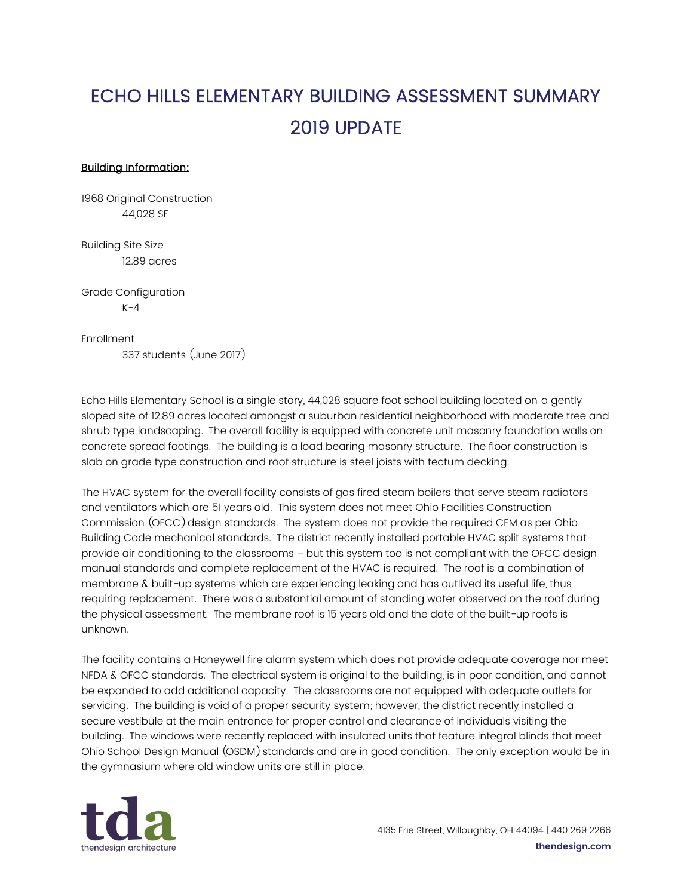## ECHO HILLS ELEMENTARY BUILDING ASSESSMENT SUMMARY 2019 UPDATE

## Building Information:

1968 Original Construction 44,028 SF

Building Site Size 12.89 acres

Grade Configuration  $K - 4$ 

Enrollment

337 students (June 2017)

Echo Hills Elementary School is a single story, 44,028 square foot school building located on a gently sloped site of 12.89 acres located amongst a suburban residential neighborhood with moderate tree and shrub type landscaping. The overall facility is equipped with concrete unit masonry foundation walls on concrete spread footings. The building is a load bearing masonry structure. The floor construction is slab on grade type construction and roof structure is steel joists with tectum decking.

The HVAC system for the overall facility consists of gas fired steam boilers that serve steam radiators and ventilators which are 51 years old. This system does not meet Ohio Facilities Construction Commission (OFCC) design standards. The system does not provide the required CFM as per Ohio Building Code mechanical standards. The district recently installed portable HVAC split systems that provide air conditioning to the classrooms – but this system too is not compliant with the OFCC design manual standards and complete replacement of the HVAC is required. The roof is a combination of membrane & built-up systems which are experiencing leaking and has outlived its useful life, thus requiring replacement. There was a substantial amount of standing water observed on the roof during the physical assessment. The membrane roof is 15 years old and the date of the built-up roofs is unknown.

The facility contains a Honeywell fire alarm system which does not provide adequate coverage nor meet NFDA & OFCC standards. The electrical system is original to the building, is in poor condition, and cannot be expanded to add additional capacity. The classrooms are not equipped with adequate outlets for servicing. The building is void of a proper security system; however, the district recently installed a secure vestibule at the main entrance for proper control and clearance of individuals visiting the building. The windows were recently replaced with insulated units that feature integral blinds that meet Ohio School Design Manual (OSDM) standards and are in good condition. The only exception would be in the gymnasium where old window units are still in place.